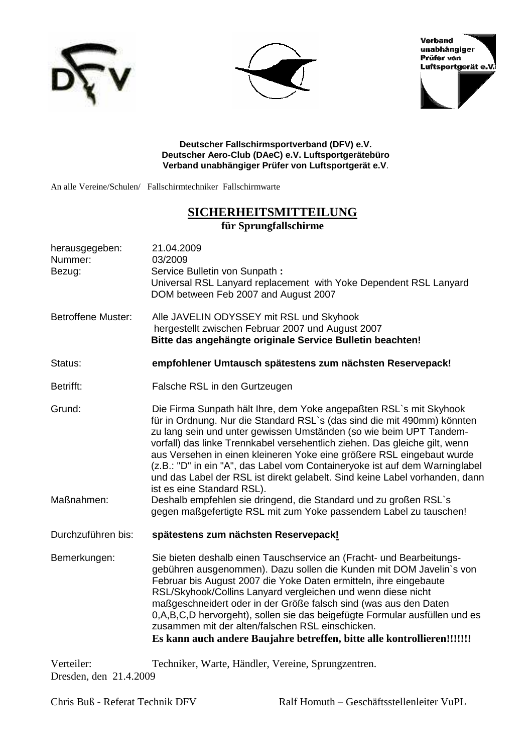





**Deutscher Fallschirmsportverband (DFV) e.V. Deutscher Aero-Club (DAeC) e.V. Luftsportgerätebüro Verband unabhängiger Prüfer von Luftsportgerät e.V**.

An alle Vereine/Schulen/ Fallschirmtechniker Fallschirmwarte

## **SICHERHEITSMITTEILUNG für Sprungfallschirme**

| herausgegeben:<br>Nummer:<br>Bezug: | 21.04.2009<br>03/2009<br>Service Bulletin von Sunpath:<br>Universal RSL Lanyard replacement with Yoke Dependent RSL Lanyard<br>DOM between Feb 2007 and August 2007                                                                                                                                                                                                                                                                                                                                                                                                                                                                                                                                             |  |  |  |
|-------------------------------------|-----------------------------------------------------------------------------------------------------------------------------------------------------------------------------------------------------------------------------------------------------------------------------------------------------------------------------------------------------------------------------------------------------------------------------------------------------------------------------------------------------------------------------------------------------------------------------------------------------------------------------------------------------------------------------------------------------------------|--|--|--|
| <b>Betroffene Muster:</b>           | Alle JAVELIN ODYSSEY mit RSL und Skyhook<br>hergestellt zwischen Februar 2007 und August 2007<br>Bitte das angehängte originale Service Bulletin beachten!                                                                                                                                                                                                                                                                                                                                                                                                                                                                                                                                                      |  |  |  |
| Status:                             | empfohlener Umtausch spätestens zum nächsten Reservepack!                                                                                                                                                                                                                                                                                                                                                                                                                                                                                                                                                                                                                                                       |  |  |  |
| Betrifft:                           | Falsche RSL in den Gurtzeugen                                                                                                                                                                                                                                                                                                                                                                                                                                                                                                                                                                                                                                                                                   |  |  |  |
| Grund:<br>Maßnahmen:                | Die Firma Sunpath hält Ihre, dem Yoke angepaßten RSL's mit Skyhook<br>für in Ordnung. Nur die Standard RSL's (das sind die mit 490mm) könnten<br>zu lang sein und unter gewissen Umständen (so wie beim UPT Tandem-<br>vorfall) das linke Trennkabel versehentlich ziehen. Das gleiche gilt, wenn<br>aus Versehen in einen kleineren Yoke eine größere RSL eingebaut wurde<br>(z.B.: "D" in ein "A", das Label vom Containeryoke ist auf dem Warninglabel<br>und das Label der RSL ist direkt gelabelt. Sind keine Label vorhanden, dann<br>ist es eine Standard RSL).<br>Deshalb empfehlen sie dringend, die Standard und zu großen RSL`s<br>gegen maßgefertigte RSL mit zum Yoke passendem Label zu tauschen! |  |  |  |
| Durchzuführen bis:                  | spätestens zum nächsten Reservepack!                                                                                                                                                                                                                                                                                                                                                                                                                                                                                                                                                                                                                                                                            |  |  |  |
| Bemerkungen:                        | Sie bieten deshalb einen Tauschservice an (Fracht- und Bearbeitungs-<br>gebühren ausgenommen). Dazu sollen die Kunden mit DOM Javelin's von<br>Februar bis August 2007 die Yoke Daten ermitteln, ihre eingebaute<br>RSL/Skyhook/Collins Lanyard vergleichen und wenn diese nicht<br>maßgeschneidert oder in der Größe falsch sind (was aus den Daten<br>0, A, B, C, D hervorgeht), sollen sie das beigefügte Formular ausfüllen und es<br>zusammen mit der alten/falschen RSL einschicken.<br>Es kann auch andere Baujahre betreffen, bitte alle kontrollieren!!!!!!!                                                                                                                                           |  |  |  |
| $V$ erteiler:                       | Techniker Warte Händler Vereine Sprungzentren                                                                                                                                                                                                                                                                                                                                                                                                                                                                                                                                                                                                                                                                   |  |  |  |

Verteiler: Techniker, Warte, Händler, Vereine, Sprungzentren. Dresden, den 21.4.2009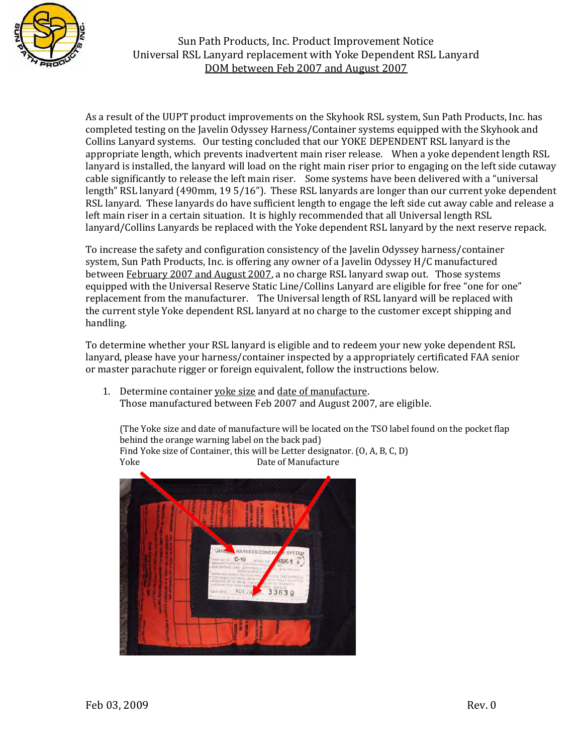

Sun Path Products, Inc. Product Improvement Notice Universal RSL Lanyard replacement with Yoke Dependent RSL Lanyard DOM between Feb 2007 and August 2007

As a result of the UUPT product improvements on the Skyhook RSL system, Sun Path Products, Inc. has completed testing on the Javelin Odyssey Harness/Container systems equipped with the Skyhook and Collins Lanyard systems. Our testing concluded that our YOKE DEPENDENT RSL lanyard is the appropriate length, which prevents inadvertent main riser release. When a yoke dependent length RSL lanyard is installed, the lanyard will load on the right main riser prior to engaging on the left side cutaway cable significantly to release the left main riser. Some systems have been delivered with a "universal length" RSL lanyard (490mm, 19 5/16"). These RSL lanyards are longer than our current yoke dependent RSL lanyard. These lanyards do have sufficient length to engage the left side cut away cable and release a left main riser in a certain situation. It is highly recommended that all Universal length RSL lanyard/Collins Lanyards be replaced with the Yoke dependent RSL lanyard by the next reserve repack.

To increase the safety and configuration consistency of the Javelin Odyssey harness/container system, Sun Path Products, Inc. is offering any owner of a Javelin Odyssey H/C manufactured between February 2007 and August 2007, a no charge RSL lanyard swap out. Those systems equipped with the Universal Reserve Static Line/Collins Lanyard are eligible for free "one for one" replacement from the manufacturer. The Universal length of RSL lanyard will be replaced with the current style Yoke dependent RSL lanyard at no charge to the customer except shipping and handling.

To determine whether your RSL lanyard is eligible and to redeem your new yoke dependent RSL lanyard, please have your harness/container inspected by a appropriately certificated FAA senior or master parachute rigger or foreign equivalent, follow the instructions below.

1. Determine container voke size and date of manufacture. Those manufactured between Feb 2007 and August 2007, are eligible.

 (The Yoke size and date of manufacture will be located on the TSO label found on the pocket flap behind the orange warning label on the back pad) Find Yoke size of Container, this will be Letter designator. (O, A, B, C, D)<br>Yoke Date of Manufacture Date of Manufacture

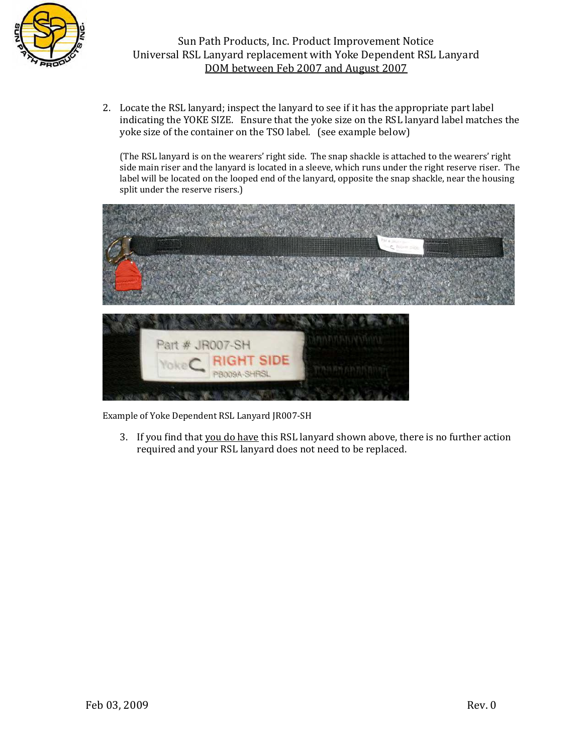

2. Locate the RSL lanyard; inspect the lanyard to see if it has the appropriate part label indicating the YOKE SIZE. Ensure that the yoke size on the RSL lanyard label matches the yoke size of the container on the TSO label. (see example below)

(The RSL lanyard is on the wearers' right side. The snap shackle is attached to the wearers' right side main riser and the lanyard is located in a sleeve, which runs under the right reserve riser. The label will be located on the looped end of the lanyard, opposite the snap shackle, near the housing split under the reserve risers.)



Example of Yoke Dependent RSL Lanyard JR007-SH

3. If you find that you do have this RSL lanyard shown above, there is no further action required and your RSL lanyard does not need to be replaced.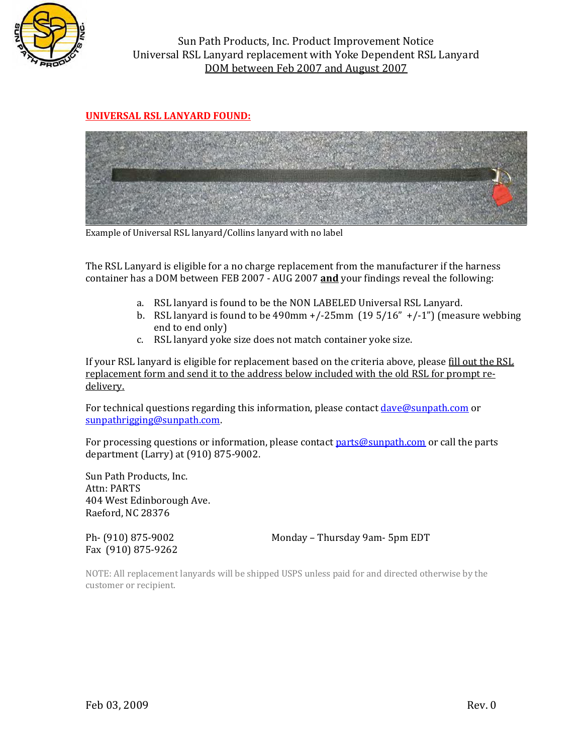

Sun Path Products, Inc. Product Improvement Notice Universal RSL Lanyard replacement with Yoke Dependent RSL Lanyard DOM between Feb 2007 and August 2007

## **UNIVERSAL RSL LANYARD FOUND:**



Example of Universal RSL lanyard/Collins lanyard with no label

The RSL Lanyard is eligible for a no charge replacement from the manufacturer if the harness container has a DOM between FEB 2007 - AUG 2007 and your findings reveal the following:

- a. RSL lanyard is found to be the NON LABELED Universal RSL Lanyard.
- b. RSL lanyard is found to be  $490$ mm  $+\frac{1}{25}$ mm  $(195/16'' + \frac{1}{10})$  (measure webbing end to end only)
- c. RSL lanyard yoke size does not match container yoke size.

If your RSL lanyard is eligible for replacement based on the criteria above, please fill out the RSL replacement form and send it to the address below included with the old RSL for prompt redelivery.

For technical questions regarding this information, please contact dave@sunpath.com or  $sunpath$ rigging@sunpath.com.

For processing questions or information, please contact parts@sunpath.com or call the parts department (Larry) at (910) 875-9002.

Sun Path Products, Inc. Attn: PARTS 404 West Edinborough Ave. Raeford, NC 28376

Fax (910) 875-9262

Ph- (910) 875-9002 Monday – Thursday 9am- 5pm EDT

NOTE: All replacement lanyards will be shipped USPS unless paid for and directed otherwise by the customer or recipient.